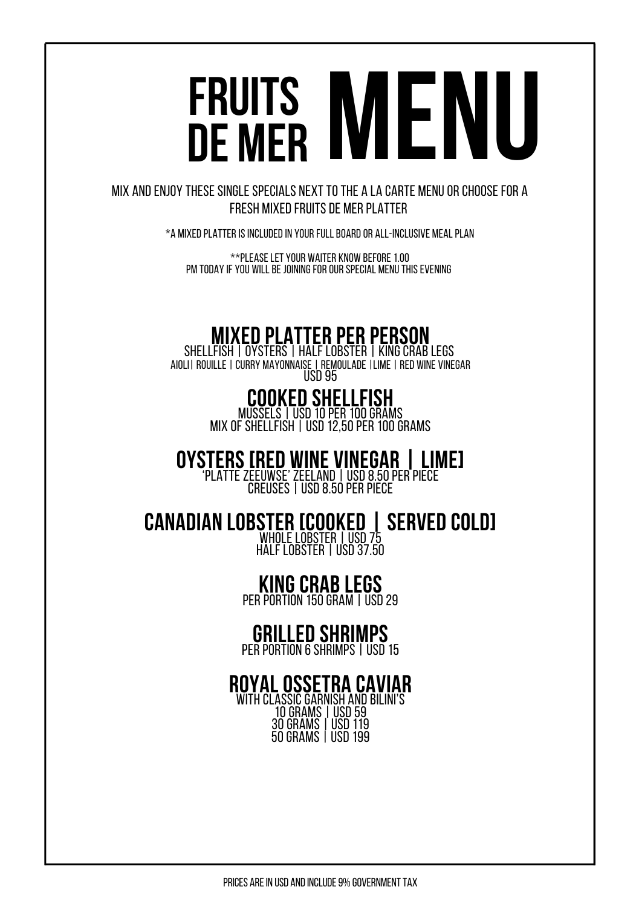# FRUITS DE MFR

MIX AND ENJOY THESE SINGLE SPECIALS NEXT TO THE A LA CARTE MENU OR CHOOSE FOR A FRESH MIXED FRUITS DE MER PLATTER

 $*$ a mixed platter is included in your Full board or All-inclusive meal plan

\*\*Please let your waiter know before 1.00 PM TODAY IF YOU WILL BE JOINING FOR OUR SPECIAL MENU THIS EVENING

## MIXED PLATTER PER PERSON SHELLFISH |OYSTERS | HALF LOBSTER| KINGCRABLEGS

AIOLI|ROUILLE|CURRY MAYONNAISE|REMOULADE|LIME|RED WINE VINEGAR USD<sub>95</sub>

### COOKED SHELLFISH

MUSSELS | USD 10 PER 100 GRAMS MIX OF SHELLFISH | USD 12,50 PER 100 GRAMS

OYSTERS[RED WINE VINEGAR | LIME] 'PLATTE ZEEUWSE' ZEELAND | USD 8.50 PER PIECE

CREUSES | USD 8.50 PER PIECE

CANADIAN LOBSTER [COOKED | SERVED COLD] WHOLE LOBSTER | USD 75 HALF LOBSTER | USD 37.50

### **KING CRAB LEGS**

PER PORTION 150 GRAM LUSD 29

## **GRILLED SHRIMPS**<br>PER PORTION 6 SHRIMPS | USD 15

#### ROYALOSSETRA CAVIAR WITH CLASSIC GARNISH AND BILINI'S

10 GRAMS | USD 59 30GRAMS |USD119 50 GRAMS | USD 199